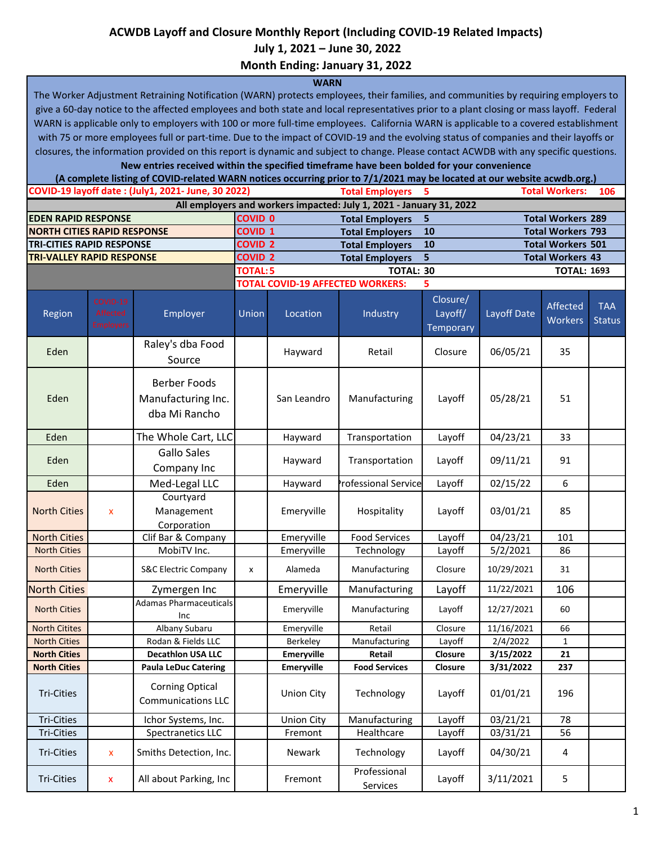## **ACWDB Layoff and Closure Monthly Report (Including COVID-19 Related Impacts)**

 **July 1, 2021 – June 30, 2022**

**Month Ending: January 31, 2022**

## **WARN**

The Worker Adjustment Retraining Notification (WARN) protects employees, their families, and communities by requiring employers to give a 60-day notice to the affected employees and both state and local representatives prior to a plant closing or mass layoff. Federal WARN is applicable only to employers with 100 or more full-time employees. California WARN is applicable to a covered establishment with 75 or more employees full or part-time. Due to the impact of COVID-19 and the evolving status of companies and their layoffs or closures, the information provided on this report is dynamic and subject to change. Please contact ACWDB with any specific questions.

**New entries received within the specified timeframe have been bolded for your convenience**

|                                                                     |                                          | (A complete listing of COVID-related WARN notices occurring prior to 7/1/2021 may be located at our website acwdb.org.) |          |                                                |                          |                                  |                          |                              |                             |  |  |  |
|---------------------------------------------------------------------|------------------------------------------|-------------------------------------------------------------------------------------------------------------------------|----------|------------------------------------------------|--------------------------|----------------------------------|--------------------------|------------------------------|-----------------------------|--|--|--|
| COVID-19 layoff date: (July1, 2021- June, 30 2022)                  |                                          |                                                                                                                         |          | <b>Total Employers</b><br>5                    |                          |                                  |                          | <b>Total Workers:</b><br>106 |                             |  |  |  |
| All employers and workers impacted: July 1, 2021 - January 31, 2022 |                                          |                                                                                                                         |          |                                                |                          |                                  |                          |                              |                             |  |  |  |
| <b>EDEN RAPID RESPONSE</b>                                          |                                          |                                                                                                                         |          | <b>COVID 0</b><br>5<br><b>Total Employers</b>  |                          |                                  | <b>Total Workers 289</b> |                              |                             |  |  |  |
| <b>NORTH CITIES RAPID RESPONSE</b>                                  |                                          |                                                                                                                         |          | COVID <sub>1</sub>                             | <b>Total Employers</b>   | 10                               | <b>Total Workers 793</b> |                              |                             |  |  |  |
| <b>TRI-CITIES RAPID RESPONSE</b>                                    |                                          |                                                                                                                         |          | <b>COVID 2</b><br>10<br><b>Total Employers</b> |                          |                                  | <b>Total Workers 501</b> |                              |                             |  |  |  |
| <b>TRI-VALLEY RAPID RESPONSE</b>                                    |                                          |                                                                                                                         |          | 5<br><b>COVID 2</b><br><b>Total Employers</b>  |                          |                                  | <b>Total Workers 43</b>  |                              |                             |  |  |  |
|                                                                     |                                          |                                                                                                                         | TOTAL: 5 |                                                | <b>TOTAL: 30</b>         |                                  | <b>TOTAL: 1693</b>       |                              |                             |  |  |  |
|                                                                     |                                          |                                                                                                                         |          | <b>TOTAL COVID-19 AFFECTED WORKERS:</b>        |                          |                                  |                          |                              |                             |  |  |  |
| Region                                                              | COVID-19<br>Affected<br><b>Employers</b> | <b>Employer</b>                                                                                                         | Union    | Location                                       | Industry                 | Closure/<br>Layoff/<br>Temporary | Layoff Date              | Affected<br>Workers          | <b>TAA</b><br><b>Status</b> |  |  |  |
| Eden                                                                |                                          | Raley's dba Food<br>Source                                                                                              |          | Hayward                                        | Retail                   | Closure                          | 06/05/21                 | 35                           |                             |  |  |  |
| Eden                                                                |                                          | <b>Berber Foods</b><br>Manufacturing Inc.<br>dba Mi Rancho                                                              |          | San Leandro                                    | Manufacturing            | Layoff                           | 05/28/21                 | 51                           |                             |  |  |  |
| Eden                                                                |                                          | The Whole Cart, LLC                                                                                                     |          | Hayward                                        | Transportation           | Layoff                           | 04/23/21                 | 33                           |                             |  |  |  |
| Eden                                                                |                                          | <b>Gallo Sales</b><br>Company Inc                                                                                       |          | Hayward                                        | Transportation           | Layoff                           | 09/11/21                 | 91                           |                             |  |  |  |
| Eden                                                                |                                          | Med-Legal LLC                                                                                                           |          | Hayward                                        | rofessional Service      | Layoff                           | 02/15/22                 | 6                            |                             |  |  |  |
| <b>North Cities</b>                                                 | $\boldsymbol{\mathsf{x}}$                | Courtyard<br>Management<br>Corporation                                                                                  |          | Emeryville                                     | Hospitality              | Layoff                           | 03/01/21                 | 85                           |                             |  |  |  |
| <b>North Cities</b>                                                 |                                          | Clif Bar & Company                                                                                                      |          | Emeryville                                     | <b>Food Services</b>     | Layoff                           | 04/23/21                 | 101                          |                             |  |  |  |
| <b>North Cities</b>                                                 |                                          | MobiTV Inc.                                                                                                             |          | Emeryville                                     | Technology               | Layoff                           | 5/2/2021                 | 86                           |                             |  |  |  |
| <b>North Cities</b>                                                 |                                          | <b>S&amp;C Electric Company</b>                                                                                         | x        | Alameda                                        | Manufacturing            | Closure                          | 10/29/2021               | 31                           |                             |  |  |  |
| <b>North Cities</b>                                                 |                                          | Zymergen Inc                                                                                                            |          | Emeryville                                     | Manufacturing            | Layoff                           | 11/22/2021               | 106                          |                             |  |  |  |
| <b>North Cities</b>                                                 |                                          | <b>Adamas Pharmaceuticals</b><br>Inc                                                                                    |          | Emeryville                                     | Manufacturing            | Layoff                           | 12/27/2021               | 60                           |                             |  |  |  |
| <b>North Citites</b>                                                |                                          | Albany Subaru                                                                                                           |          | Emeryville                                     | Retail                   | Closure                          | 11/16/2021               | 66                           |                             |  |  |  |
| <b>North Cities</b>                                                 |                                          | Rodan & Fields LLC                                                                                                      |          | Berkeley                                       | Manufacturing            | Layoff                           | 2/4/2022                 | 1                            |                             |  |  |  |
| <b>North Cities</b>                                                 |                                          | <b>Decathlon USA LLC</b>                                                                                                |          | Emeryville                                     | Retail                   | Closure                          | 3/15/2022                | 21                           |                             |  |  |  |
| <b>North Cities</b>                                                 |                                          | <b>Paula LeDuc Catering</b>                                                                                             |          | Emeryville                                     | <b>Food Services</b>     | Closure                          | 3/31/2022                | 237                          |                             |  |  |  |
| <b>Tri-Cities</b>                                                   |                                          | <b>Corning Optical</b><br><b>Communications LLC</b>                                                                     |          | <b>Union City</b>                              | Technology               | Layoff                           | 01/01/21                 | 196                          |                             |  |  |  |
| Tri-Cities                                                          |                                          | Ichor Systems, Inc.                                                                                                     |          | <b>Union City</b>                              | Manufacturing            | Layoff                           | 03/21/21                 | 78                           |                             |  |  |  |
| Tri-Cities                                                          |                                          | Spectranetics LLC                                                                                                       |          | Fremont                                        | Healthcare               | Layoff                           | 03/31/21                 | 56                           |                             |  |  |  |
| <b>Tri-Cities</b>                                                   | $\pmb{\mathsf{X}}$                       | Smiths Detection, Inc.                                                                                                  |          | Newark                                         | Technology               | Layoff                           | 04/30/21                 | 4                            |                             |  |  |  |
| <b>Tri-Cities</b>                                                   | $\mathbf x$                              | All about Parking, Inc                                                                                                  |          | Fremont                                        | Professional<br>Services | Layoff                           | 3/11/2021                | 5                            |                             |  |  |  |